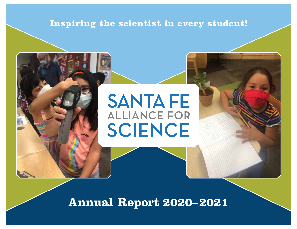## **Inspiring the scientist in every student!**

# **SANTA FE ALLIANCE FOR** SCIENCE

**Annual Report 2020–2021**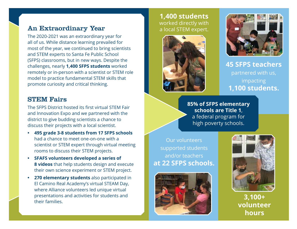## An Extraordinary Year

The 2020-2021 was an extraordinary year for all of us. While distance learning prevailed for most of the year, we continued to bring scientists and STEM experts to Santa Fe Public School (SFPS) classrooms, but in new ways. Despite the challenges, nearly **1,400 SFPS students** worked remotely or in-person with a scientist or STEM role model to practice fundamental STEM skills that promote curiosity and critical thinking.

## STEM Fairs

The SFPS District hosted its first virtual STEM Fair and Innovation Expo and we partnered with the district to give budding scientists a chance to discuss their projects with a local scientist.

- **• 495 grade 3-8 students from 17 SFPS schools** had a chance to meet one-on-one with a scientist or STEM expert through virtual meeting rooms to discuss their STEM projects.
- **• SFAFS volunteers developed a series of 8 videos** that help students design and execute their own science experiment or STEM project.
- **• 270 elementary students** also participated in El Camino Real Academy's virtual STEAM Day, where Alliance volunteers led unique virtual presentations and activities for students and their families.

**1,400 students** worked directly with a local STEM expert.





**45 SFPS teachers** partnered with us, impacting **1,100 students.**

**85% of SFPS elementary schools are Title 1**, a federal program for high poverty schools.

Our volunteers supported students and/or teachers **at 22 SFPS schools.**





**3,100+ volunteer hours**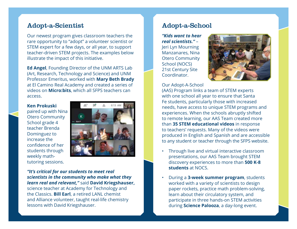## Adopt-a-Scientist

Our newest program gives classroom teachers the rare opportunity to "adopt" a volunteer scientist or STEM expert for a few days, or all year, to support teacher-driven STEM projects. The examples below illustrate the impact of this initiative.

**Ed Angel**, Founding Director of the UNM ARTS Lab (Art, Research, Technology and Science) and UNM Professor Emeritus, worked with **Mary Beth Brady** at El Camino Real Academy and created a series of videos on **Micro:bits**, which all SFPS teachers can access.

#### **Ken Prokuski**

paired up with Nina Otero Community School grade 4 teacher Brenda Dominguez to increase the confidence of her students through weekly mathtutoring sessions.



*"It's critical for our students to meet real scientists in the community who make what they learn real and relevant,"* said **David Kriegshauser,**  science teacher at Academy for Technology and the Classics. **Bill Earl**, a retired LANL chemist and Alliance volunteer, taught real-life chemistry

lessons with David Kriegshauser.

## Adopt-a-School

*"Kids want to hear real scientists."* – Jeri Lyn Mourning Manzanares, Nina Otero Community School (NOCS) 21st Century Site Coordinator.



Our Adopt-A-School

(AAS) Program links a team of STEM experts with one school all year to ensure that Santa Fe students, particularly those with increased needs, have access to unique STEM programs and experiences. When the schools abruptly shifted to remote learning, our AAS Team created more than **35 STEM educational videos** in response to teachers' requests. Many of the videos were produced in English and Spanish and are accessible to any student or teacher through the SFPS website.

- Through live and virtual interactive classroom presentations, our AAS Team brought STEM discovery experiences to more than **500 K-8 students** at NOCS.
- During a **3-week summer program**, students worked with a variety of scientists to design paper rockets, practice math problem-solving, learn about their circulatory system, and participate in three hands-on STEM activities during **Science Palooza**, a day-long event.